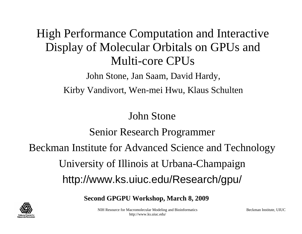#### High Performance Computation and Interactive Display of Molecular Orbitals on GPUs and Multi-core CPUs

John Stone, Jan Saam, David Hardy, Kirby Vandivort, Wen-mei Hwu, Klaus Schulten

#### John Stone

#### Senior Research Programmer

Beckman Institute for Advanced Science and Technology

University of Illinois at Urbana-Champaign http://www.ks.uiuc.edu/Research/gpu/

**Second GPGPU Workshop, March 8, 2009**



NIH Resource for Macromolecular Modeling and Bioinformatics http://www.ks.uiuc.edu/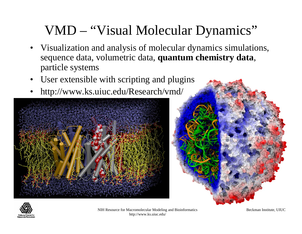## VMD – "Visual Molecular Dynamics"

- Visualization and analysis of molecular dynamics simulations, sequence data, volumetric data, **quantum chemistry data**, particle systems
- •User extensible with scripting and plugins
- •http://www.ks.uiuc.edu/Research/vmd/





NIH Resource for Macromolecular Modeling and Bioinformatics http://www.ks.uiuc.edu/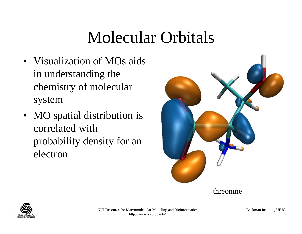# Molecular Orbitals

- Visualization of MOs aids in understanding the chemistry of molecular system
- MO spatial distribution is correlated with probability density for an electron



threonine

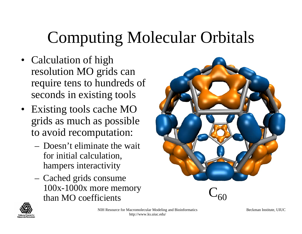# Computing Molecular Orbitals

- Calculation of high resolution MO grids can require tens to hundreds of seconds in existing tools
- Existing tools cache MO grids as much as possible to avoid recomputation:
	- Doesn't eliminate the wait for initial calculation, hampers interactivity
	- Cached grids consume 100x-1000x more memory than MO coefficients





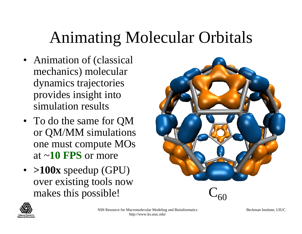# Animating Molecular Orbitals

- Animation of (classical mechanics) molecular dynamics trajectories provides insight into simulation results
- To do the same for QM or QM/MM simulations one must compute MOs at ~**10 FPS** or more
- **>100x** speedup (GPU) over existing tools now makes this possible!



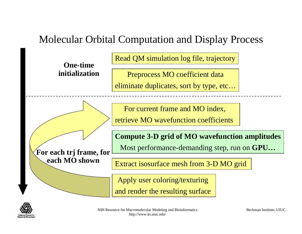#### Molecular Orbital Computation and Display Process

**One-time initialization** Read QM simulation log file, trajectory

Preprocess MO coefficient data

eliminate duplicates, sort by type, etc…

For current frame and MO index,

retrieve MO wavefunction coefficients

**For each trj frame, for each MO shown**

**Compute 3-D grid of MO wavefunction amplitudes**

Most performance-demanding step, run on **GPU…**

Extract isosurface mesh from 3-D MO grid

Apply user coloring/texturing

and render the resulting surface

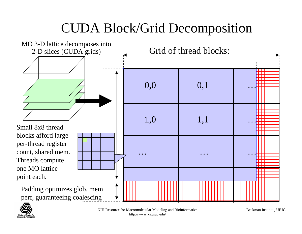## CUDA Block/Grid Decomposition





NIH Resource for Macromolecular Modeling and Bioinformatics http://www.ks.uiuc.edu/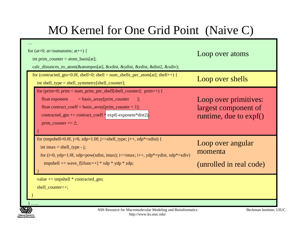### MO Kernel for One Grid Point (Naive C)

| for (at=0; at <numatoms; at++)="" {<br="">int prim_counter = <math>atom_basis[at]</math>;<br/>calc_distances_to_atom(&amp;atompos[at], &amp;xdist, &amp;ydist, &amp;zdist, &amp;dist2, &amp;xdiv);</numatoms;>                                                                        | Loop over atoms                                                         |  |  |
|---------------------------------------------------------------------------------------------------------------------------------------------------------------------------------------------------------------------------------------------------------------------------------------|-------------------------------------------------------------------------|--|--|
| for (contracted_gto=0.0f, shell=0; shell < num_shells_per_atom[at]; shell++) {<br>$int shell_type = shell_symmetry[shell_counter];$                                                                                                                                                   | Loop over shells                                                        |  |  |
| for (prim=0; prim < num_prim_per_shell[shell_counter]; prim++) {<br>$=$ basis_array[prim_counter<br>float exponent<br>$\exists$ :<br>float contract_coeff = basis_array[prim_counter + 1];<br>contracted_gto += contract_coeff $*$ expf(-exponent $*$ dist2);<br>prim_counter $+= 2;$ | Loop over primitives:<br>largest component of<br>runtime, due to expf() |  |  |
| for (tmpshell=0.0f, j=0, zdp=1.0f; j<=shell_type; j++, zdp*=zdist) {<br>int imax = shell_type - j;<br>for $(i=0, ydp=1.0f, xdp=pow(xdist, imax); i<=imax; i++, ydp*=ydist, xdp*=xdiv)$<br>tmpshell += wave_f[ifunc++] * xdp * ydp * zdp;                                              | Loop over angular<br>momenta<br>(unrolled in real code)                 |  |  |
| value $+=$ tmpshell $*$ contracted_gto;<br>$shell\_counter++;$                                                                                                                                                                                                                        |                                                                         |  |  |

National Center for **Besearch Besources**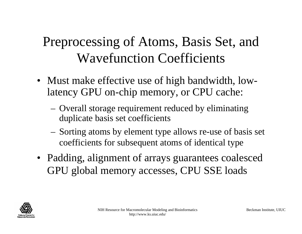## Preprocessing of Atoms, Basis Set, and Wavefunction Coefficients

- Must make effective use of high bandwidth, lowlatency GPU on-chip memory, or CPU cache:
	- Overall storage requirement reduced by eliminating duplicate basis set coefficients
	- Sorting atoms by element type allows re-use of basis set coefficients for subsequent atoms of identical type
- Padding, alignment of arrays guarantees coalesced GPU global memory accesses, CPU SSE loads

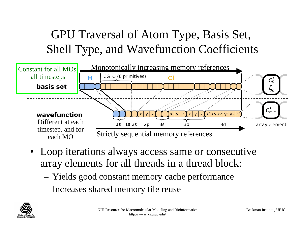## GPU Traversal of Atom Type, Basis Set, Shell Type, and Wavefunction Coefficients



- Loop iterations always access same or consecutive array elements for all threads in a thread block:
	- Yields good constant memory cache performance
	- Increases shared memory tile reuse

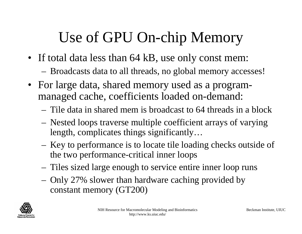## Use of GPU On-chip Memory

- If total data less than 64 kB, use only const mem:
	- Broadcasts data to all threads, no global memory accesses!
- For large data, shared memory used as a programmanaged cache, coefficients loaded on-demand:
	- Tile data in shared mem is broadcast to 64 threads in a block
	- Nested loops traverse multiple coefficient arrays of varying length, complicates things significantly…
	- Key to performance is to locate tile loading checks outside of the two performance-critical inner loops
	- Tiles sized large enough to service entire inner loop runs
	- Only 27% slower than hardware caching provided by constant memory (GT200)

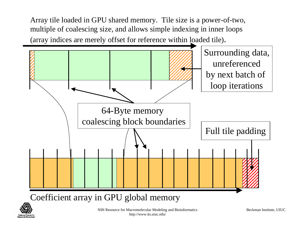Array tile loaded in GPU shared memory. Tile size is a power-of-two, multiple of coalescing size, and allows simple indexing in inner loops (array indices are merely offset for reference within loaded tile).



Coefficient array in GPU global memory

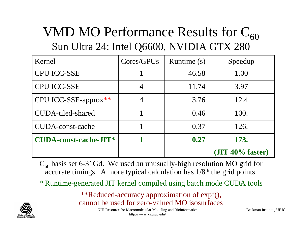## VMD MO Performance Results for  $C_{60}$ Sun Ultra 24: Intel Q6600, NVIDIA GTX 280

| Kernel                       | Cores/GPUs | Runtime (s) | Speedup                |
|------------------------------|------------|-------------|------------------------|
| <b>CPU ICC-SSE</b>           |            | 46.58       | 1.00                   |
| <b>CPU ICC-SSE</b>           |            | 11.74       | 3.97                   |
| CPU ICC-SSE-approx**         |            | 3.76        | 12.4                   |
| CUDA-tiled-shared            |            | 0.46        | 100.                   |
| <b>CUDA-const-cache</b>      |            | 0.37        | 126.                   |
| <b>CUDA-const-cache-JIT*</b> |            | 0.27        | 173.                   |
|                              |            |             | $($ JIT 40% faster $)$ |

 $\rm C_{60}$  basis set 6-31Gd. We used an unusually-high resolution MO grid for accurate timings. A more typical calculation has  $1/8$ <sup>th</sup> the grid points.

\* Runtime-generated JIT kernel compiled using batch mode CUDA tools

\*\*Reduced-accuracy approximation of expf(), cannot be used for zero-valued MO isosurfaces



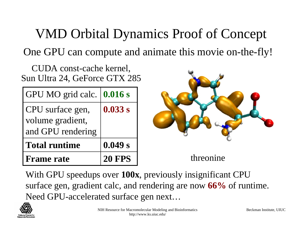## VMD Orbital Dynamics Proof of Concept

One GPU can compute and animate this movie on-the-fly!

CUDA const-cache kernel, Sun Ultra 24, GeForce GTX 285

| GPU MO grid calc.    | 0.016 s       |
|----------------------|---------------|
| CPU surface gen,     | 0.033 s       |
| volume gradient,     |               |
| and GPU rendering    |               |
| <b>Total runtime</b> | 0.049 s       |
| <b>Frame rate</b>    | <b>20 FPS</b> |



With GPU speedups over **100x**, previously insignificant CPU surface gen, gradient calc, and rendering are now **66%** of runtime. Need GPU-accelerated surface gen next…

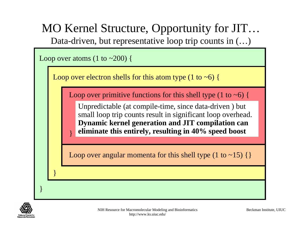

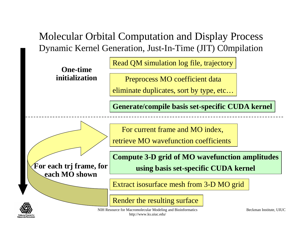#### Molecular Orbital Computation and Display Process Dynamic Kernel Generation, Just-In-Time (JIT) C0mpilation

Read QM simulation log file, trajectory

Preprocess MO coefficient data

eliminate duplicates, sort by type, etc…

**Generate/compile basis set-specific CUDA kernel**

For current frame and MO index,

retrieve MO wavefunction coefficients

**For each trj frame, for each MO shown**

**One-time** 

**initialization**

**Compute 3-D grid of MO wavefunction amplitudes using basis set-specific CUDA kernel**

Extract isosurface mesh from 3-D MO grid

NIH Resource for Macromolecular Modeling and Bioinformatics Render the resulting surface

http://www.ks.uiuc.edu/

Beckman Institute, UIUC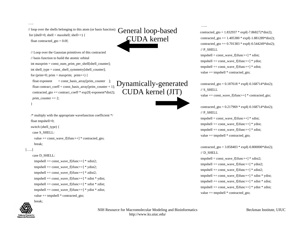```
……
```
// loop over the shells belonging to this atom (or basis function) for (shell=0; shell < maxshell; shell++) { float contracted  $gto = 0.0$ f:

```
// Loop over the Gaussian primitives of this contracted
// basis function to build the atomic orbitalint maxprim = const_num_prim_per_shell[shell_counter];
int shell_type = const_shell_symmetry[shell_counter];
for (prim=0; prim < maxprim; prim++) {
 float exponent = const basis array[prim_counter \vert:
 float contract coeff = const basis array[prim_counter + 1];
 contracted gt = contract coeff * exp2f(-exponent*dist2);
 prim_counter += 2;
```

```
}
```
 $/*$  multiply with the appropriate wavefunction coefficient  $*/$ float tmpshell=0; switch (shell\_type) { case S\_SHELL: value  $+=$  const\_wave\_f[ifunc++]  $*$  contracted\_gto; break; […..]

#### case D\_SHELL:

```
tmpshell += const_wave_f[ifunc++] * xdist2;
tmpshell += const_wave_f[ifunc++] * ydist2;
tmpshell += const_wave_f[ifunc++] * zdist2;
tmpshell += const_wave_f[ifunc++] * xdist * ydist;
tmpshell += const_wave_f[ifunc++] * xdist * zdist;
tmpshell += const_wave_f[ifunc++] * ydist * zdist;
value += tmpshell * contracted gto;
```
# break;

General loop-based CUDA kernel

Dynamically-generated CUDA kernel (JIT)

#### contracted gto =  $1.832937 * expf(-7.868272*dist2);$ contracted\_gto  $+= 1.405380 * exp(-1.881289 * dist2);$ contracted\_gto  $+= 0.701383 * exp(-0.544249 * dist2);$ // P\_SHELL

tmpshell = const\_wave\_f[ifunc++]  $*$  xdist; tmpshell  $+=$  const\_wave\_f[ifunc++]  $*$  ydist; tmpshell  $+=$  const\_wave\_f[ifunc++]  $*$  zdist; value  $+=$  tmpshell  $*$  contracted\_gto;

……

contracted\_gto =  $0.187618 * \text{expf}(-0.168714 * \text{dist2})$ ;  $\text{/}$ / S\_SHELL

value  $+=$  const\_wave\_f[ifunc++]  $*$  contracted\_gto;

contracted\_gto =  $0.217969$  \* expf(-0.168714\*dist2); // P\_SHELL

tmpshell = const\_wave\_f[ifunc++]  $*$  xdist; tmpshell  $+=$  const\_wave\_f[ifunc++]  $*$  ydist; tmpshell  $+=$  const\_wave\_f[ifunc++]  $*$  zdist; value  $+=$  tmpshell  $*$  contracted gto;

contracted\_gto =  $3.858403$  \* expf(-0.800000\*dist2); // D\_SHELL tmpshell = const\_wave\_f[ifunc++]  $*$  xdist2;  $tmpshell += const_wave_f[ifunc++] * ydist2;$ tmpshell  $+=$  const\_wave\_f[ifunc++]  $*$  zdist2; tmpshell  $+=$  const\_wave\_f[ifunc++]  $*$  xdist  $*$  ydist; tmpshell  $+=$  const\_wave\_f[ifunc++]  $*$  xdist  $*$  zdist; tmpshell  $+=$  const\_wave\_f[ifunc++]  $*$  ydist  $*$  zdist; value  $+=$  tmpshell  $*$  contracted gto;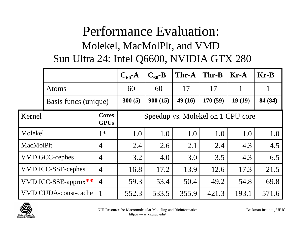### Performance Evaluation: Molekel, MacMolPlt, and VMD Sun Ultra 24: Intel Q6600, NVIDIA GTX 280

|                                           |                             |                             | $C_{60}$ -A                          | $C_{60}$ -B | Thr-A  | Thr-B   | $Kr-A$ | $Kr-B$  |
|-------------------------------------------|-----------------------------|-----------------------------|--------------------------------------|-------------|--------|---------|--------|---------|
|                                           | Atoms                       |                             | 60                                   | 60          | 17     | 17      |        |         |
|                                           | Basis funcs (unique)        |                             | 300(5)                               | 900(15)     | 49(16) | 170(59) | 19(19) | 84 (84) |
| Kernel                                    |                             | <b>Cores</b><br><b>GPUs</b> | Speedup vs. Molekel on 1 CPU core    |             |        |         |        |         |
| Molekel                                   |                             | $1*$                        | 1.0<br>1.0<br>1.0<br>1.0<br>1.0      |             |        | 1.0     |        |         |
| <b>MacMolPlt</b>                          |                             | $\overline{4}$              | 2.1<br>4.3<br>2.4<br>2.6<br>2.4      |             | 4.5    |         |        |         |
|                                           | <b>VMD GCC-cephes</b>       | $\overline{4}$              | 3.2                                  | 4.0         | 3.0    | 3.5     | 4.3    | 6.5     |
|                                           | <b>VMD ICC-SSE-cephes</b>   | $\overline{4}$              | 13.9<br>16.8<br>17.2<br>12.6<br>17.3 |             | 21.5   |         |        |         |
| $\overline{4}$<br>VMD ICC-SSE-approx $**$ |                             | 59.3                        | 53.4                                 | 50.4        | 49.2   | 54.8    | 69.8   |         |
|                                           | <b>VMD CUDA-const-cache</b> |                             | 552.3                                | 533.5       | 355.9  | 421.3   | 193.1  | 571.6   |

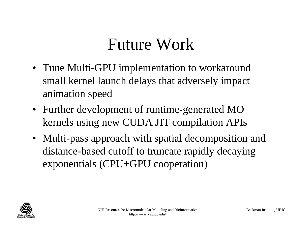# Future Work

- Tune Multi-GPU implementation to workaround small kernel launch delays that adversely impact animation speed
- Further development of runtime-generated MO kernels using new CUDA JIT compilation APIs
- Multi-pass approach with spatial decomposition and distance-based cutoff to truncate rapidly decaying exponentials (CPU+GPU cooperation)